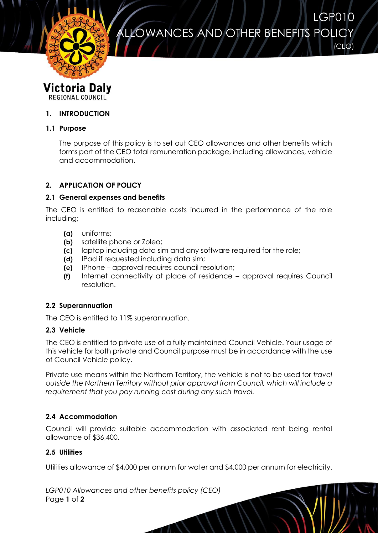ALLOWANCES AND OTHER BENEFITS POLICY

LGP010

(CEO)



**Victoria Daly** REGIONAL COUNCIL

# **1. INTRODUCTION**

## **1.1 Purpose**

The purpose of this policy is to set out CEO allowances and other benefits which forms part of the CEO total remuneration package, including allowances, vehicle and accommodation.

### **2. APPLICATION OF POLICY**

### **2.1 General expenses and benefits**

The CEO is entitled to reasonable costs incurred in the performance of the role including;

- **(a)** uniforms;
- **(b)** satellite phone or Zoleo;
- **(c)** laptop including data sim and any software required for the role;
- **(d)** IPad if requested including data sim;
- **(e)** IPhone approval requires council resolution;
- **(f)** Internet connectivity at place of residence approval requires Council resolution.

#### **2.2 Superannuation**

The CEO is entitled to 11% superannuation.

#### **2.3 Vehicle**

The CEO is entitled to private use of a fully maintained Council Vehicle. Your usage of this vehicle for both private and Council purpose must be in accordance with the use of Council Vehicle policy.

Private use means within the Northern Territory, the vehicle is not to be used for *travel outside the Northern Territory without prior approval from Council, which will include a requirement that you pay running cost during any such travel.*

### **2.4 Accommodation**

Council will provide suitable accommodation with associated rent being rental allowance of \$36,400.

#### **2.5 Utilities**

Utilities allowance of \$4,000 per annum for water and \$4,000 per annum for electricity.

*LGP010 Allowances and other benefits policy (CEO)* Page **1** of **2**